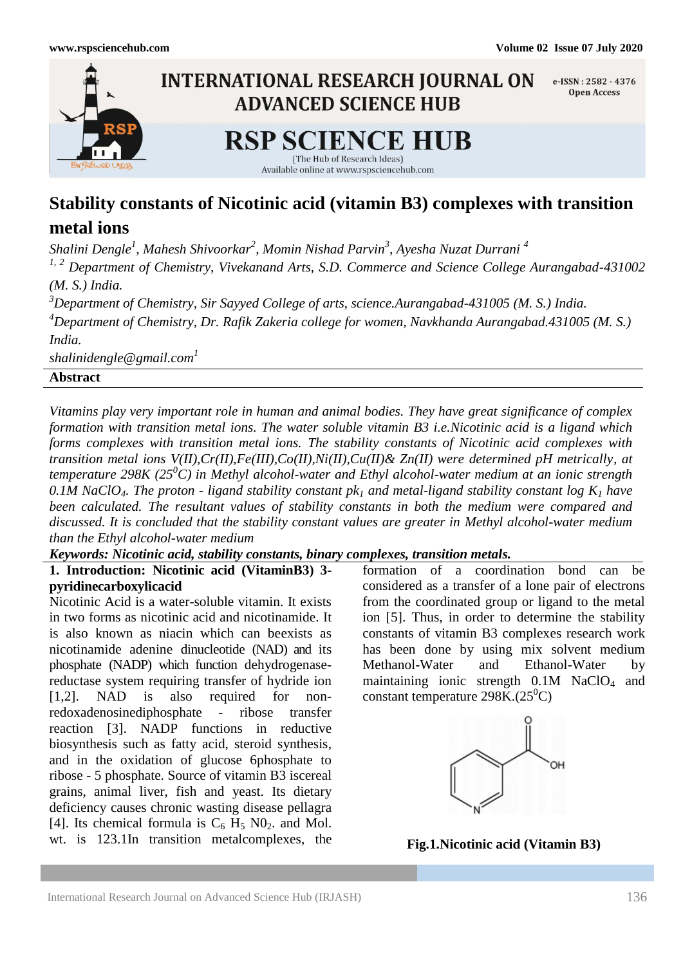

# **Stability constants of Nicotinic acid (vitamin B3) complexes with transition**

# **metal ions**

*Shalini Dengle<sup>1</sup> , Mahesh Shivoorkar<sup>2</sup> , Momin Nishad Parvin<sup>3</sup> , Ayesha Nuzat Durrani <sup>4</sup>*

*1, 2 Department of Chemistry, Vivekanand Arts, S.D. Commerce and Science College Aurangabad-431002 (M. S.) India.*

*<sup>3</sup>Department of Chemistry, Sir Sayyed College of arts, science.Aurangabad-431005 (M. S.) India. <sup>4</sup>Department of Chemistry, Dr. Rafik Zakeria college for women, Navkhanda Aurangabad.431005 (M. S.) India.*

*shalinidengle@gmail.com<sup>1</sup>*

# **Abstract**

*Vitamins play very important role in human and animal bodies. They have great significance of complex formation with transition metal ions. The water soluble vitamin B3 i.e.Nicotinic acid is a ligand which forms complexes with transition metal ions. The stability constants of Nicotinic acid complexes with transition metal ions V(II),Cr(II),Fe(III),Co(II),Ni(II),Cu(II)& Zn(II) were determined pH metrically, at temperature 298K (25<sup>0</sup>C) in Methyl alcohol-water and Ethyl alcohol-water medium at an ionic strength 0.1M NaClO4. The proton - ligand stability constant pk<sup>1</sup> and metal-ligand stability constant log K<sup>1</sup> have been calculated. The resultant values of stability constants in both the medium were compared and discussed. It is concluded that the stability constant values are greater in Methyl alcohol-water medium than the Ethyl alcohol-water medium*

#### *Keywords: Nicotinic acid, stability constants, binary complexes, transition metals.*

# **1. Introduction: Nicotinic acid (VitaminB3) 3 pyridinecarboxylicacid**

Nicotinic Acid is a water-soluble vitamin. It exists in two forms as nicotinic acid and nicotinamide. It is also known as niacin which can beexists as nicotinamide adenine dinucleotide (NAD) and its phosphate (NADP) which function dehydrogenasereductase system requiring transfer of hydride ion [1,2]. NAD is also required for nonredoxadenosinediphosphate - ribose transfer reaction [3]. NADP functions in reductive biosynthesis such as fatty acid, steroid synthesis, and in the oxidation of glucose 6phosphate to ribose - 5 phosphate. Source of vitamin B3 iscereal grains, animal liver, fish and yeast. Its dietary deficiency causes chronic wasting disease pellagra [4]. Its chemical formula is  $C_6$  H<sub>5</sub> NO<sub>2</sub>. and Mol. wt. is 123.1In transition metalcomplexes, the

formation of a coordination bond can be considered as a transfer of a lone pair of electrons from the coordinated group or ligand to the metal ion [5]. Thus, in order to determine the stability constants of vitamin B3 complexes research work has been done by using mix solvent medium Methanol-Water and Ethanol-Water by maintaining ionic strength 0.1M NaClO<sub>4</sub> and constant temperature  $298K(25^0C)$ 



**Fig.1.Nicotinic acid (Vitamin B3)**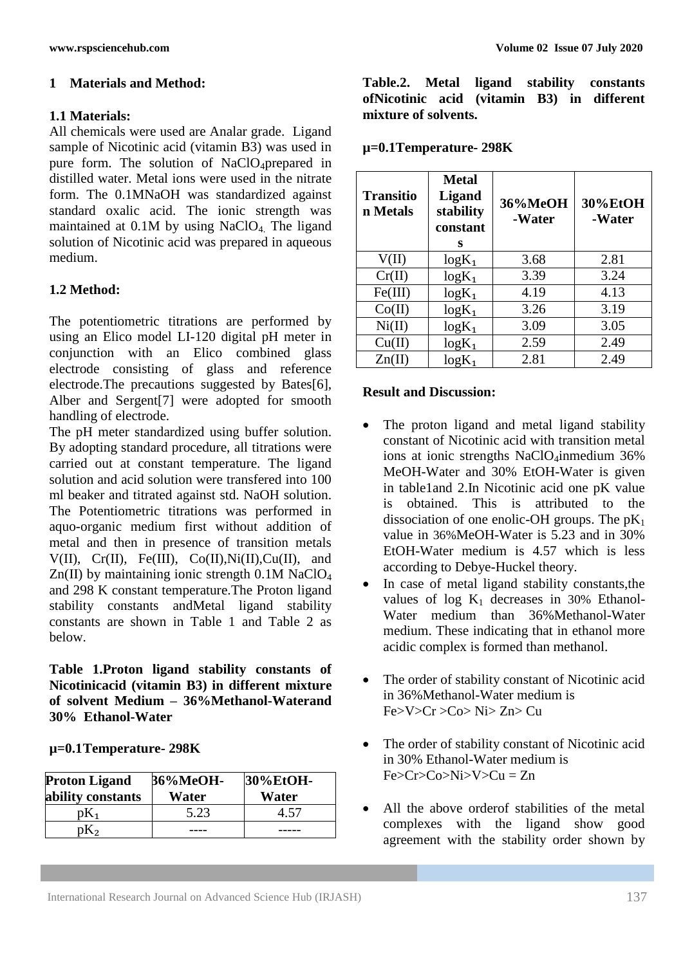## **1 Materials and Method:**

### **1.1 Materials:**

All chemicals were used are Analar grade. Ligand sample of Nicotinic acid (vitamin B3) was used in pure form. The solution of NaClO<sub>4</sub>prepared in distilled water. Metal ions were used in the nitrate form. The 0.1MNaOH was standardized against standard oxalic acid. The ionic strength was maintained at 0.1M by using NaClO4. The ligand solution of Nicotinic acid was prepared in aqueous medium.

# **1.2 Method:**

The potentiometric titrations are performed by using an Elico model LI-120 digital pH meter in conjunction with an Elico combined glass electrode consisting of glass and reference electrode.The precautions suggested by Bates[6], Alber and Sergent[7] were adopted for smooth handling of electrode.

The pH meter standardized using buffer solution. By adopting standard procedure, all titrations were carried out at constant temperature. The ligand solution and acid solution were transfered into 100 ml beaker and titrated against std. NaOH solution. The Potentiometric titrations was performed in aquo-organic medium first without addition of metal and then in presence of transition metals  $V(II)$ ,  $Cr(II)$ ,  $Fe(III)$ ,  $Co(II)$ ,  $Ni(II)$ ,  $Cu(II)$ , and  $Zn(II)$  by maintaining ionic strength 0.1M NaClO<sub>4</sub> and 298 K constant temperature.The Proton ligand stability constants andMetal ligand stability constants are shown in Table 1 and Table 2 as below.

**Table 1.Proton ligand stability constants of Nicotinicacid (vitamin B3) in different mixture of solvent Medium – 36%Methanol-Waterand 30% Ethanol-Water** 

**µ=0.1Temperature- 298K**

| <b>Proton Ligand</b><br>ability constants | <b>36%MeOH-</b><br>Water | 30%EtOH-<br>Water |
|-------------------------------------------|--------------------------|-------------------|
|                                           | 5.23                     |                   |
|                                           |                          |                   |

**Table.2. Metal ligand stability constants ofNicotinic acid (vitamin B3) in different mixture of solvents.** 

| $\mu$ =0.1 Temperature-298K |  |
|-----------------------------|--|
|-----------------------------|--|

| <b>Transitio</b><br>n Metals | <b>Metal</b><br><b>Ligand</b><br>stability<br>constant<br>s | 36%MeOH<br>-Water | 30%EtOH<br>-Water |
|------------------------------|-------------------------------------------------------------|-------------------|-------------------|
| V(II)                        | $log K_1$                                                   | 3.68              | 2.81              |
| Cr(II)                       | $log K_1$                                                   | 3.39              | 3.24              |
| Fe(III)                      | $log K_1$                                                   | 4.19              | 4.13              |
| Co(II)                       | $log K_1$                                                   | 3.26              | 3.19              |
| Ni(II)                       | $log K_1$                                                   | 3.09              | 3.05              |
| Cu(II)                       | $log K_1$                                                   | 2.59              | 2.49              |
| Zn(II)                       | $log K_1$                                                   | 2.81              | 2.49              |

#### **Result and Discussion:**

- The proton ligand and metal ligand stability constant of Nicotinic acid with transition metal ions at ionic strengths  $NaClO<sub>4</sub>$ inmedium 36% MeOH-Water and 30% EtOH-Water is given in table1and 2.In Nicotinic acid one pK value is obtained. This is attributed to the dissociation of one enolic-OH groups. The  $pK_1$ value in 36%MeOH-Water is 5.23 and in 30% EtOH-Water medium is 4.57 which is less according to Debye-Huckel theory.
- In case of metal ligand stability constants,the values of  $log K_1$  decreases in 30% Ethanol-Water medium than 36%Methanol-Water medium. These indicating that in ethanol more acidic complex is formed than methanol.
- The order of stability constant of Nicotinic acid in 36%Methanol-Water medium is Fe>V>Cr >Co> Ni> Zn> Cu
- The order of stability constant of Nicotinic acid in 30% Ethanol-Water medium is  $Fe > Cr > Co > Ni > V > Cu = Zn$
- All the above orderof stabilities of the metal complexes with the ligand show good agreement with the stability order shown by